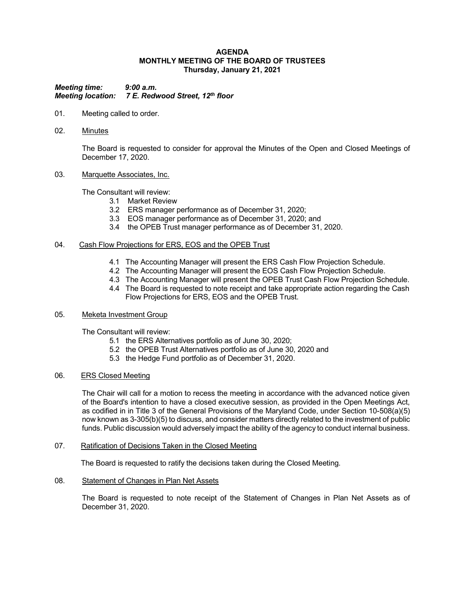### **AGENDA MONTHLY MEETING OF THE BOARD OF TRUSTEES Thursday, January 21, 2021**

*Meeting time: 9:00 a.m. Meeting location: 7 E. Redwood Street, 12th floor*

- 01. Meeting called to order.
- 02. Minutes

The Board is requested to consider for approval the Minutes of the Open and Closed Meetings of December 17, 2020.

### 03. Marquette Associates, Inc.

The Consultant will review:

- 3.1 Market Review
- 3.2 ERS manager performance as of December 31, 2020;
- 3.3 EOS manager performance as of December 31, 2020; and
- 3.4 the OPEB Trust manager performance as of December 31, 2020.

### 04. Cash Flow Projections for ERS, EOS and the OPEB Trust

- 4.1 The Accounting Manager will present the ERS Cash Flow Projection Schedule.
- 4.2 The Accounting Manager will present the EOS Cash Flow Projection Schedule.
- 4.3 The Accounting Manager will present the OPEB Trust Cash Flow Projection Schedule.
- 4.4 The Board is requested to note receipt and take appropriate action regarding the Cash Flow Projections for ERS, EOS and the OPEB Trust.

### 05. Meketa Investment Group

The Consultant will review:

- 5.1 the ERS Alternatives portfolio as of June 30, 2020;
- 5.2 the OPEB Trust Alternatives portfolio as of June 30, 2020 and
- 5.3 the Hedge Fund portfolio as of December 31, 2020.

## 06. ERS Closed Meeting

The Chair will call for a motion to recess the meeting in accordance with the advanced notice given of the Board's intention to have a closed executive session, as provided in the Open Meetings Act, as codified in in Title 3 of the General Provisions of the Maryland Code, under Section 10-508(a)(5) now known as 3-305(b)(5) to discuss, and consider matters directly related to the investment of public funds. Public discussion would adversely impact the ability of the agency to conduct internal business.

## 07. Ratification of Decisions Taken in the Closed Meeting

The Board is requested to ratify the decisions taken during the Closed Meeting.

## 08. Statement of Changes in Plan Net Assets

The Board is requested to note receipt of the Statement of Changes in Plan Net Assets as of December 31, 2020.